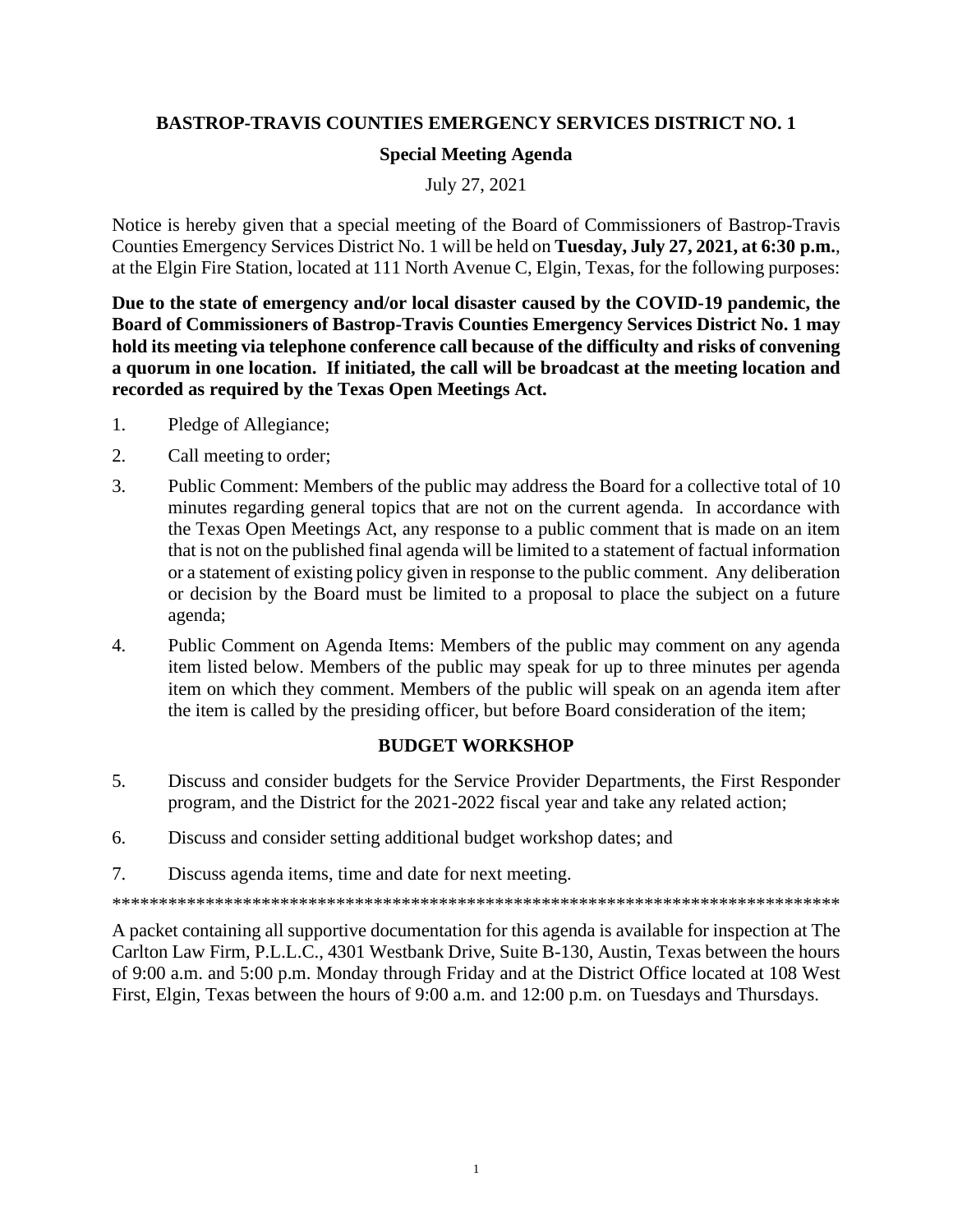## **BASTROP-TRAVIS COUNTIES EMERGENCY SERVICES DISTRICT NO. 1**

## **Special Meeting Agenda**

July 27, 2021

Notice is hereby given that a special meeting of the Board of Commissioners of Bastrop-Travis Counties Emergency Services District No. 1 will be held on **Tuesday, July 27, 2021, at 6:30 p.m.**, at the Elgin Fire Station, located at 111 North Avenue C, Elgin, Texas, for the following purposes:

**Due to the state of emergency and/or local disaster caused by the COVID-19 pandemic, the Board of Commissioners of Bastrop-Travis Counties Emergency Services District No. 1 may hold its meeting via telephone conference call because of the difficulty and risks of convening a quorum in one location. If initiated, the call will be broadcast at the meeting location and recorded as required by the Texas Open Meetings Act.**

- 1. Pledge of Allegiance;
- 2. Call meeting to order;
- 3. Public Comment: Members of the public may address the Board for a collective total of 10 minutes regarding general topics that are not on the current agenda. In accordance with the Texas Open Meetings Act, any response to a public comment that is made on an item that is not on the published final agenda will be limited to a statement of factual information or a statement of existing policy given in response to the public comment. Any deliberation or decision by the Board must be limited to a proposal to place the subject on a future agenda;
- 4. Public Comment on Agenda Items: Members of the public may comment on any agenda item listed below. Members of the public may speak for up to three minutes per agenda item on which they comment. Members of the public will speak on an agenda item after the item is called by the presiding officer, but before Board consideration of the item;

## **BUDGET WORKSHOP**

- 5. Discuss and consider budgets for the Service Provider Departments, the First Responder program, and the District for the 2021-2022 fiscal year and take any related action;
- 6. Discuss and consider setting additional budget workshop dates; and
- 7. Discuss agenda items, time and date for next meeting.

\*\*\*\*\*\*\*\*\*\*\*\*\*\*\*\*\*\*\*\*\*\*\*\*\*\*\*\*\*\*\*\*\*\*\*\*\*\*\*\*\*\*\*\*\*\*\*\*\*\*\*\*\*\*\*\*\*\*\*\*\*\*\*\*\*\*\*\*\*\*\*\*\*\*\*\*\*\*

A packet containing all supportive documentation for this agenda is available for inspection at The Carlton Law Firm, P.L.L.C., 4301 Westbank Drive, Suite B-130, Austin, Texas between the hours of 9:00 a.m. and 5:00 p.m. Monday through Friday and at the District Office located at 108 West First, Elgin, Texas between the hours of 9:00 a.m. and 12:00 p.m. on Tuesdays and Thursdays.